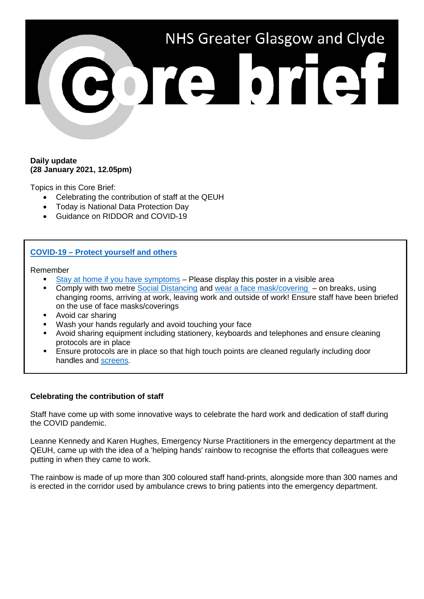

### **Daily update (28 January 2021, 12.05pm)**

Topics in this Core Brief:

- Celebrating the contribution of staff at the QEUH
- Today is National Data Protection Day
- Guidance on RIDDOR and COVID-19

# **COVID-19 – [Protect yourself and others](https://hpspubsrepo.blob.core.windows.net/hps-website/nss/3071/documents/1_covid-19-key-messages-in-the-workplace-a4.pdf)**

Remember

- [Stay at home if you have symptoms](https://www.nhsggc.org.uk/media/263552/covid19_stop_the_spread_good_practice_poster.pdf) Please display this poster in a visible area
- Comply with two metre [Social Distancing](https://www.nhsggc.org.uk/your-health/health-issues/covid-19-coronavirus/for-nhsggc-staff/social-distancing-in-the-workplace/) and [wear a face mask/covering](https://www.nhsggc.org.uk/media/264667/covid19_staff_face_masks_coverings.pdf)  on breaks, using changing rooms, arriving at work, leaving work and outside of work! Ensure staff have been briefed on the use of face masks/coverings
- Avoid car sharing
- Wash your hands regularly and avoid touching your face
- Avoid sharing equipment including stationery, keyboards and telephones and ensure cleaning protocols are in place
- Ensure protocols are in place so that high touch points are cleaned regularly including door handles and [screens.](http://www.staffnet.ggc.scot.nhs.uk/Corporate%20Services/Communications/Briefs/Pages/comms_CoreBrief-24December2020(110pm)_LS241220.aspx)

# **Celebrating the contribution of staff**

Staff have come up with some innovative ways to celebrate the hard work and dedication of staff during the COVID pandemic.

Leanne Kennedy and Karen Hughes, Emergency Nurse Practitioners in the emergency department at the QEUH, came up with the idea of a 'helping hands' rainbow to recognise the efforts that colleagues were putting in when they came to work.

The rainbow is made of up more than 300 coloured staff hand-prints, alongside more than 300 names and is erected in the corridor used by ambulance crews to bring patients into the emergency department.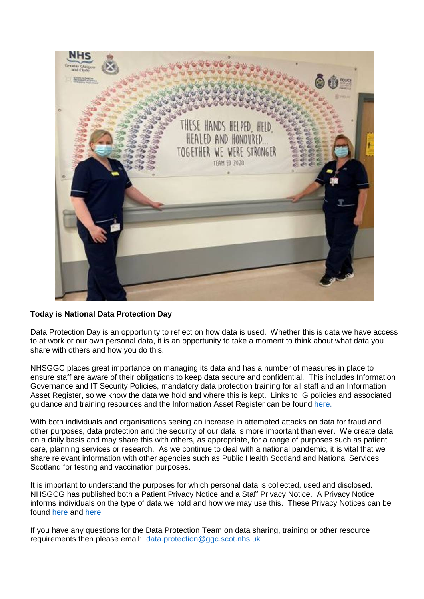

# **Today is National Data Protection Day**

Data Protection Day is an opportunity to reflect on how data is used. Whether this is data we have access to at work or our own personal data, it is an opportunity to take a moment to think about what data you share with others and how you do this.

NHSGGC places great importance on managing its data and has a number of measures in place to ensure staff are aware of their obligations to keep data secure and confidential. This includes Information Governance and IT Security Policies, mandatory data protection training for all staff and an Information Asset Register, so we know the data we hold and where this is kept. Links to IG policies and associated guidance and training resources and the Information Asset Register can be found [here.](http://www.staffnet.ggc.scot.nhs.uk/Corporate%20Services/eHealth/PoliciesandProcedures/Non%20Clinical%20Policies/Pages/InformationGovernanceandInformationTechnologySecurityFramework.aspx)

With both individuals and organisations seeing an increase in attempted attacks on data for fraud and other purposes, data protection and the security of our data is more important than ever. We create data on a daily basis and may share this with others, as appropriate, for a range of purposes such as patient care, planning services or research. As we continue to deal with a national pandemic, it is vital that we share relevant information with other agencies such as Public Health Scotland and National Services Scotland for testing and vaccination purposes.

It is important to understand the purposes for which personal data is collected, used and disclosed. NHSGCG has published both a Patient Privacy Notice and a Staff Privacy Notice. A Privacy Notice informs individuals on the type of data we hold and how we may use this. These Privacy Notices can be found [here](https://www.nhsggc.org.uk/patients-and-visitors/faqs/data-protection-privacy/) and [here.](https://www.nhsggc.org.uk/media/252547/2019-01-22-staff-privacy-notice-final-version.pdf)

If you have any questions for the Data Protection Team on data sharing, training or other resource requirements then please email: [data.protection@ggc.scot.nhs.uk](mailto:data.protection@ggc.scot.nhs.uk)